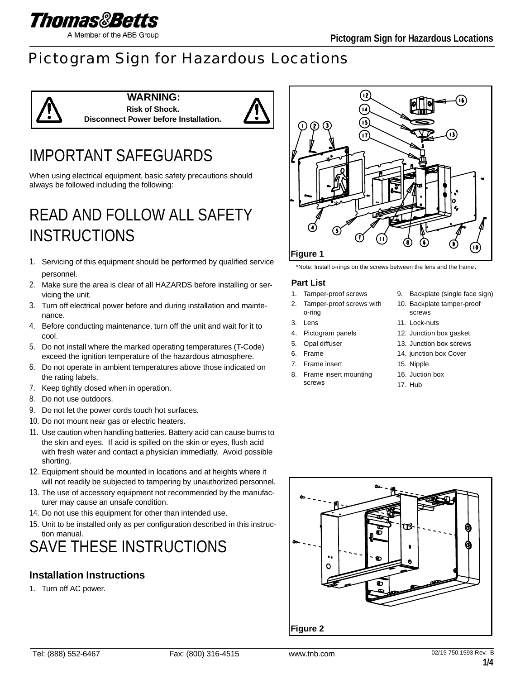

# Pictogram Sign for Hazardous Locations



#### **WARNING: Risk of Shock. Disconnect Power before Installation.**



# IMPORTANT SAFEGUARDS

When using electrical equipment, basic safety precautions should always be followed including the following:

# READ AND FOLLOW ALL SAFETY **INSTRUCTIONS**

- 1. Servicing of this equipment should be performed by qualified service personnel.
- 2. Make sure the area is clear of all HAZARDS before installing or servicing the unit.
- 3. Turn off electrical power before and during installation and maintenance.
- 4. Before conducting maintenance, turn off the unit and wait for it to cool.
- 5. Do not install where the marked operating temperatures (T-Code) exceed the ignition temperature of the hazardous atmosphere.
- 6. Do not operate in ambient temperatures above those indicated on the rating labels.
- 7. Keep tightly closed when in operation.
- 8. Do not use outdoors.
- 9. Do not let the power cords touch hot surfaces.
- 10. Do not mount near gas or electric heaters.
- 11. Use caution when handling batteries. Battery acid can cause burns to the skin and eyes. If acid is spilled on the skin or eyes, flush acid with fresh water and contact a physician immediatly. Avoid possible shorting.
- 12. Equipment should be mounted in locations and at heights where it will not readily be subjected to tampering by unauthorized personnel.
- 13. The use of accessory equipment not recommended by the manufacturer may cause an unsafe condition.
- 14. Do not use this equipment for other than intended use.
- 15. Unit to be installed only as per configuration described in this instruction manual.

# SAVE THESE INSTRUCTIONS

## **Installation Instructions**

1. Turn off AC power.



\*Note: Install o-rings on the screws between the lens and the frame.

#### **Part List**

- 1. Tamper-proof screws
- 2. Tamper-proof screws with
- o-ring
- 3. Lens
- 4. Pictogram panels
- 5. Opal diffuser
- 6. Frame
- 7. Frame insert
- 8. Frame insert mounting screws
- 9. Backplate (single face sign)
- 10. Backplate tamper-proof screws
- 11. Lock-nuts
- 12. Junction box gasket
- 13. Junction box screws
- 14. junction box Cover
- 15. Nipple
- 16. Juction box
- 17. Hub

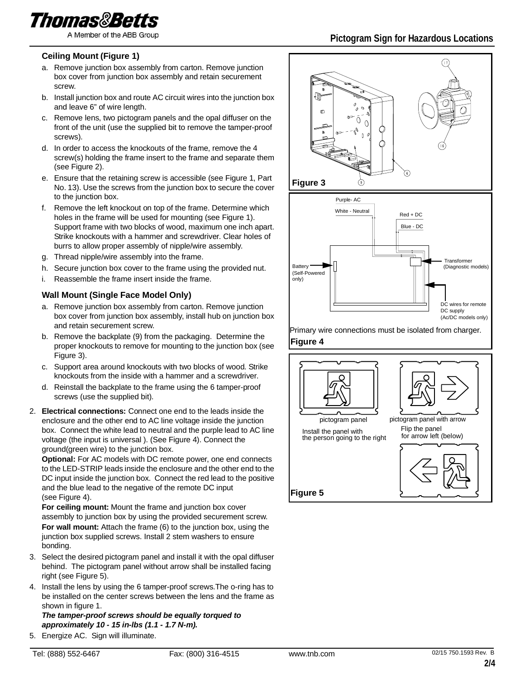

#### **Ceiling Mount (Figure 1)**

- a. Remove junction box assembly from carton. Remove junction box cover from junction box assembly and retain securement screw.
- b. Install junction box and route AC circuit wires into the junction box and leave 6" of wire length.
- c. Remove lens, two pictogram panels and the opal diffuser on the front of the unit (use the supplied bit to remove the tamper-proof screws).
- d. In order to access the knockouts of the frame, remove the 4 screw(s) holding the frame insert to the frame and separate them (see Figure 2).
- e. Ensure that the retaining screw is accessible (see Figure 1, Part No. 13). Use the screws from the junction box to secure the cover to the junction box.
- f. Remove the left knockout on top of the frame. Determine which holes in the frame will be used for mounting (see Figure 1). Support frame with two blocks of wood, maximum one inch apart. Strike knockouts with a hammer and screwdriver. Clear holes of burrs to allow proper assembly of nipple/wire assembly.
- g. Thread nipple/wire assembly into the frame.
- h. Secure junction box cover to the frame using the provided nut.
- i. Reassemble the frame insert inside the frame.

#### **Wall Mount (Single Face Model Only)**

- a. Remove junction box assembly from carton. Remove junction box cover from junction box assembly, install hub on junction box and retain securement screw.
- b. Remove the backplate (9) from the packaging. Determine the proper knockouts to remove for mounting to the junction box (see Figure 3).
- c. Support area around knockouts with two blocks of wood. Strike knockouts from the inside with a hammer and a screwdriver.
- d. Reinstall the backplate to the frame using the 6 tamper-proof screws (use the supplied bit).
- 2. **Electrical connections:** Connect one end to the leads inside the enclosure and the other end to AC line voltage inside the junction box. Connect the white lead to neutral and the purple lead to AC line voltage (the input is universal ). (See Figure 4). Connect the ground(green wire) to the junction box.

**Optional:** For AC models with DC remote power, one end connects to the LED-STRIP leads inside the enclosure and the other end to the DC input inside the junction box. Connect the red lead to the positive and the blue lead to the negative of the remote DC input (see Figure 4).

**For ceiling mount:** Mount the frame and junction box cover assembly to junction box by using the provided securement screw. **For wall mount:** Attach the frame (6) to the junction box, using the junction box supplied screws. Install 2 stem washers to ensure bonding.

- 3. Select the desired pictogram panel and install it with the opal diffuser behind. The pictogram panel without arrow shall be installed facing right (see Figure 5).
- 4. Install the lens by using the 6 tamper-proof screws.The o-ring has to be installed on the center screws between the lens and the frame as shown in figure 1.

*The tamper-proof screws should be equally torqued to approximately 10 - 15 in-lbs (1.1 - 1.7 N-m).*

5. Energize AC. Sign will illuminate.

**Figure 5**

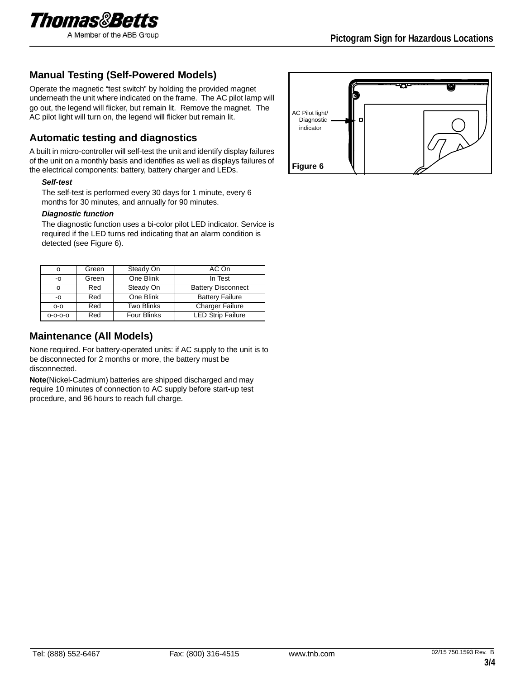

### **Manual Testing (Self-Powered Models)**

Operate the magnetic "test switch" by holding the provided magnet underneath the unit where indicated on the frame. The AC pilot lamp will go out, the legend will flicker, but remain lit. Remove the magnet. The AC pilot light will turn on, the legend will flicker but remain lit.

### **Automatic testing and diagnostics**

A built in micro-controller will self-test the unit and identify display failures of the unit on a monthly basis and identifies as well as displays failures of the electrical components: battery, battery charger and LEDs.

#### *Self-test*

The self-test is performed every 30 days for 1 minute, every 6 months for 30 minutes, and annually for 90 minutes.

#### *Diagnostic function*

The diagnostic function uses a bi-color pilot LED indicator. Service is required if the LED turns red indicating that an alarm condition is detected (see Figure 6).

| o               | Green | Steady On          | AC On                     |
|-----------------|-------|--------------------|---------------------------|
| $-0$            | Green | One Blink          | In Test                   |
| o               | Red   | Steady On          | <b>Battery Disconnect</b> |
| -0              | Red   | One Blink          | <b>Battery Failure</b>    |
| $O-O$           | Red   | <b>Two Blinks</b>  | <b>Charger Failure</b>    |
| $0 - 0 - 0 - 0$ | Red   | <b>Four Blinks</b> | <b>LED Strip Failure</b>  |

### **Maintenance (All Models)**

None required. For battery-operated units: if AC supply to the unit is to be disconnected for 2 months or more, the battery must be disconnected.

**Note**(Nickel-Cadmium) batteries are shipped discharged and may require 10 minutes of connection to AC supply before start-up test procedure, and 96 hours to reach full charge.